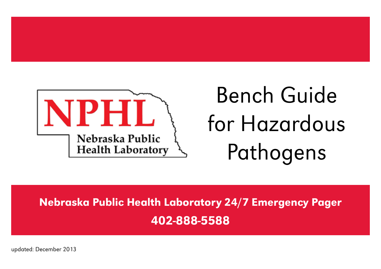

# Bench Guide for Hazardous Pathogens

Nebraska Public Health Laboratory 24/7 Emergency Pager 402-888-5588

updated: December 2013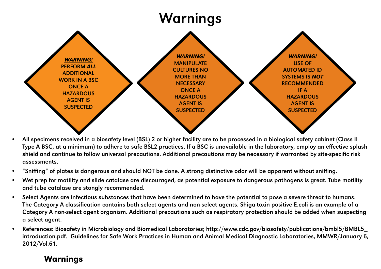## Warnings



- All specimens received in a biosafety level (BSL) 2 or higher facility are to be processed in a biological safety cabinet (Class II Type A BSC, at a minimum) to adhere to safe BSL2 practices. If a BSC is unavailable in the laboratory, employ an effective splash shield and continue to follow universal precautions. Additional precautions may be necessary if warranted by site-specific risk assessments.
- "Sniffing" of plates is dangerous and should NOT be done. A strong distinctive odor will be apparent without sniffing.
- Wet prep for motility and slide catalase are discouraged, as potential exposure to dangerous pathogens is great. Tube motility and tube catalase are stongly recommended.
- Select Agents are infectious substances that have been determined to have the potential to pose a severe threat to humans. The Category A classification contains both select agents and non-select agents. Shiga-toxin positive E.coli is an example of a Category A non-select agent organism. Additional precautions such as respiratory protection should be added when suspecting a select agent.
- References: Biosafety in Microbiology and Biomedical Laboratories; http://www.cdc.gov/biosafety/publications/bmbl5/BMBL5\_ introduction.pdf. Guidelines for Safe Work Practices in Human and Animal Medical Diagnostic Laboratories, MMWR/January 6, 2012/Vol.61.

#### Warnings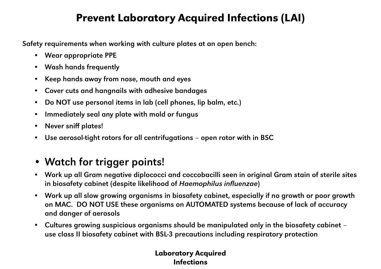### Prevent Laboratory Acquired Infections (LAI)

Safety requirements when working with culture plates at an open bench:

- Wear appropriate PPE
- Wash hands frequently
- Keep hands away from nose, mouth and eyes
- Cover cuts and hangnails with adhesive bandages
- Do NOT use personal items in lab (cell phones, lip balm, etc.)
- Immediately seal any plate with mold or fungus
- Never sniff plates!
- Use aerosol-tight rotors for all centrifugations open rotor with in BSC

### • Watch for trigger points!

- Work up all Gram negative diplococci and coccobacilli seen in original Gram stain of sterile sites in biosafety cabinet (despite likelihood of *Haemophilus influenzae*)
- Work up all slow growing organisms in biosafety cabinet, especially if no growth or poor growth on MAC. DO NOT USE these organisms on AUTOMATED systems because of lack of accuracy and danger of aerosols
- Cultures growing suspicious organisms should be manipulated only in the biosafety cabinet use class II biosafety cabinet with BSL-3 precautions including respiratory protection

#### Laboratory Acquired Infections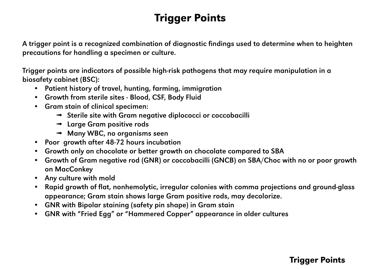## Trigger Points

A trigger point is a recognized combination of diagnostic findings used to determine when to heighten precautions for handling a specimen or culture.

Trigger points are indicators of possible high-risk pathogens that may require manipulation in a biosafety cabinet (BSC):

- Patient history of travel, hunting, farming, immigration
- Growth from sterile sites Blood, CSF, Body Fluid
- Gram stain of clinical specimen:
	- ➟ Sterile site with Gram negative diplococci or coccobacilli
	- ➟ Large Gram positive rods
	- **Many WBC, no organisms seen**
- Poor growth after 48-72 hours incubation
- Growth only on chocolate or better growth on chocolate compared to SBA
- Growth of Gram negative rod (GNR) or coccobacilli (GNCB) on SBA/Choc with no or poor growth on MacConkey
- Any culture with mold
- Rapid growth of flat, nonhemolytic, irregular colonies with comma projections and ground-glass appearance; Gram stain shows large Gram positive rods, may decolorize.
- GNR with Bipolar staining (safety pin shape) in Gram stain
- GNR with "Fried Egg" or "Hammered Copper" appearance in older cultures

#### Trigger Points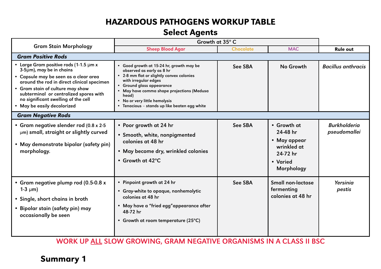#### HAZARDOUS PATHOGENS WORKUP TABLE

#### Select Agents

|                                                                                                                                                                                                                                                                                                                    | Growth at 35° C                                                                                                                                                                                                                                                                                                  |                  |                                                                                              |                                     |  |  |  |  |
|--------------------------------------------------------------------------------------------------------------------------------------------------------------------------------------------------------------------------------------------------------------------------------------------------------------------|------------------------------------------------------------------------------------------------------------------------------------------------------------------------------------------------------------------------------------------------------------------------------------------------------------------|------------------|----------------------------------------------------------------------------------------------|-------------------------------------|--|--|--|--|
| <b>Gram Stain Morphology</b>                                                                                                                                                                                                                                                                                       | <b>Sheep Blood Agar</b>                                                                                                                                                                                                                                                                                          | <b>Chocolate</b> | <b>MAC</b>                                                                                   | <b>Rule out</b>                     |  |  |  |  |
| <b>Gram Positive Rods</b>                                                                                                                                                                                                                                                                                          |                                                                                                                                                                                                                                                                                                                  |                  |                                                                                              |                                     |  |  |  |  |
| • Large Gram positive rods (1-1.5 $\mu$ m x<br>3-5µm), may be in chains<br>· Capsule may be seen as a clear area<br>around the rod in direct clinical specimen<br>• Gram stain of culture may show<br>subterminal or centralized spores with<br>no significant swelling of the cell<br>• May be easily decolorized | • Good growth at 15-24 hr, growth may be<br>observed as early as 8 hr<br>• 2-8 mm flat or slightly convex colonies<br>with irregular edges<br>• Ground glass appearance<br>• May have comma shape projections (Medusa<br>head)<br>• No or very little hemolysis<br>• Tenacious - stands up like beaten egg white | See SBA          | No Growth                                                                                    | <b>Bacillus anthracis</b>           |  |  |  |  |
| <b>Gram Negative Rods</b>                                                                                                                                                                                                                                                                                          |                                                                                                                                                                                                                                                                                                                  |                  |                                                                                              |                                     |  |  |  |  |
| • Gram negative slender rod (0.8 x 2-5)<br>µm) small, straight or slightly curved<br>· May demonstrate bipolar (safety pin)<br>morphology.                                                                                                                                                                         | • Poor growth at 24 hr<br>• Smooth, white, nonpigmented<br>colonies at 48 hr<br>• May become dry, wrinkled colonies<br>• Growth at $42^{\circ}$ C                                                                                                                                                                | See SBA          | • Growth at<br>24-48 hr<br>• May appear<br>wrinkled at<br>24-72 hr<br>• Varied<br>Morphology | <b>Burkholderia</b><br>pseudomallei |  |  |  |  |
| · Gram negative plump rod (0.5-0.8 x<br>1-3 $\mu$ m)<br>• Single, short chains in broth<br>• Bipolar stain (safety pin) may<br>occasionally be seen                                                                                                                                                                | • Pinpoint growth at 24 hr<br>• Gray-white to opaque, nonhemolytic<br>colonies at 48 hr<br>• May have a "fried egg"appearance after<br>48-72 hr<br>• Growth at room temperature (25°C)                                                                                                                           | See SBA          | Small non-lactose<br>fermenting<br>colonies at 48 hr                                         | Yersinia<br>pestis                  |  |  |  |  |

WORK UP ALL SLOW GROWING, GRAM NEGATIVE ORGANISMS IN A CLASS II BSC

#### Summary 1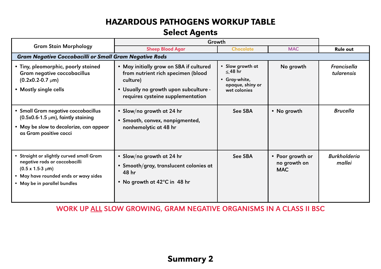#### HAZARDOUS PATHOGENS WORKUP TABLE

#### Select Agents

|                                                                                                                                                                                  | Growth                                                                                                                                                                  |                                                                                       |                                                |                               |  |  |  |  |
|----------------------------------------------------------------------------------------------------------------------------------------------------------------------------------|-------------------------------------------------------------------------------------------------------------------------------------------------------------------------|---------------------------------------------------------------------------------------|------------------------------------------------|-------------------------------|--|--|--|--|
| <b>Gram Stain Morphology</b>                                                                                                                                                     | <b>Sheep Blood Agar</b>                                                                                                                                                 | <b>Chocolate</b>                                                                      | <b>MAC</b>                                     | <b>Rule out</b>               |  |  |  |  |
| <b>Gram Negative Coccobacilli or Small Gram Negative Rods</b>                                                                                                                    |                                                                                                                                                                         |                                                                                       |                                                |                               |  |  |  |  |
| • Tiny, pleomorphic, poorly stained<br>Gram negative coccobacillus<br>$(0.2x0.2-0.7 \mu m)$<br>• Mostly single cells                                                             | • May initially grow on SBA if cultured<br>from nutrient rich specimen (blood<br>culture)<br>. Usually no growth upon subculture -<br>requires cysteine supplementation | • Slow growth at<br>$\leq 48$ hr<br>• Gray-white,<br>opaque, shiny or<br>wet colonies | No growth                                      | Francisella<br>tularensis     |  |  |  |  |
| · Small Gram negative coccobacillus<br>$(0.5x0.6-1.5 \mu m)$ , faintly staining<br>• May be slow to decolorize, can appear<br>as Gram positive cocci                             | • Slow/no growth at 24 hr<br>• Smooth, convex, nonpigmented,<br>nonhemolytic at 48 hr                                                                                   | See SBA                                                                               | • No growth                                    | <b>Brucella</b>               |  |  |  |  |
| Straight or slightly curved small Gram<br>negative rods or coccobacilli<br>$(0.5 \times 1.5 - 3 \mu m)$<br>• May have rounded ends or wavy sides<br>• May be in parallel bundles | • Slow/no growth at 24 hr<br>• Smooth/gray, translucent colonies at<br>48 hr<br>• No growth at 42°C in 48 hr                                                            | See SBA                                                                               | • Poor growth or<br>no growth on<br><b>MAC</b> | <b>Burkholderia</b><br>mallei |  |  |  |  |

WORK UP ALL SLOW GROWING, GRAM NEGATIVE ORGANISMS IN A CLASS II BSC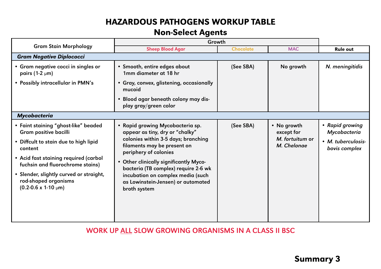#### HAZARDOUS PATHOGENS WORKUP TABLE

#### Non-Select Agents

|                                                                                                                                                                                                                                                                                                        | Growth                                                                                                                                                                                                                                                                                                                                          |                  |                                                             |                                                                        |  |  |  |
|--------------------------------------------------------------------------------------------------------------------------------------------------------------------------------------------------------------------------------------------------------------------------------------------------------|-------------------------------------------------------------------------------------------------------------------------------------------------------------------------------------------------------------------------------------------------------------------------------------------------------------------------------------------------|------------------|-------------------------------------------------------------|------------------------------------------------------------------------|--|--|--|
| <b>Gram Stain Morphology</b>                                                                                                                                                                                                                                                                           | <b>Sheep Blood Agar</b>                                                                                                                                                                                                                                                                                                                         | <b>Chocolate</b> | <b>MAC</b>                                                  | <b>Rule out</b>                                                        |  |  |  |
| <b>Gram Negative Diplococci</b>                                                                                                                                                                                                                                                                        |                                                                                                                                                                                                                                                                                                                                                 |                  |                                                             |                                                                        |  |  |  |
| • Gram negative cocci in singles or<br>pairs (1-2 $\mu$ m)                                                                                                                                                                                                                                             | • Smooth, entire edges about<br>1mm diameter at 18 hr                                                                                                                                                                                                                                                                                           | (See SBA)        | No growth                                                   | N. meningitidis                                                        |  |  |  |
| • Possibly intracellular in PMN's                                                                                                                                                                                                                                                                      | · Gray, convex, glistening, occasionally<br>mucoid                                                                                                                                                                                                                                                                                              |                  |                                                             |                                                                        |  |  |  |
|                                                                                                                                                                                                                                                                                                        | . Blood agar beneath colony may dis-<br>play gray/green color                                                                                                                                                                                                                                                                                   |                  |                                                             |                                                                        |  |  |  |
| <b>Mycobacteria</b>                                                                                                                                                                                                                                                                                    |                                                                                                                                                                                                                                                                                                                                                 |                  |                                                             |                                                                        |  |  |  |
| • Faint staining "ghost-like" beaded<br>Gram positive bacilli<br>• Diffcult to stain due to high lipid<br>content<br>• Acid fast staining required (carbol<br>fuchsin and fluorochrome stains)<br>· Slender, slightly curved or straight,<br>rod-shaped organisms<br>$(0.2 - 0.6 \times 1 - 10 \mu m)$ | • Rapid growing Mycobacteria sp.<br>appear as tiny, dry or "chalky"<br>colonies within 3-5 days; branching<br>filaments may be present on<br>periphery of colonies<br>• Other clinically significantly Myco-<br>bacteria (TB complex) require 2-6 wk<br>incubation on complex media (such<br>as Lowinstein-Jensen) or automated<br>broth system | (See SBA)        | • No growth<br>except for<br>M. fortuitum or<br>M. Chelonae | • Rapid growing<br>Mycobacteria<br>• M. tuberculosis-<br>bovis complex |  |  |  |

WORK UP ALL SLOW GROWING ORGANISMS IN A CLASS II BSC

#### Summary 3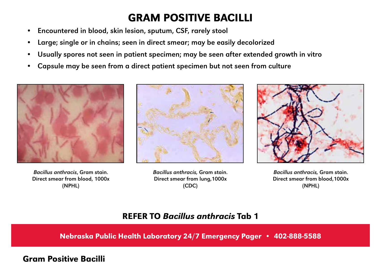### GRAM POSITIVE BACILLI

- Encountered in blood, skin lesion, sputum, CSF, rarely stool
- Large; single or in chains; seen in direct smear; may be easily decolorized
- Usually spores not seen in patient specimen; may be seen after extended growth in vitro
- Capsule may be seen from a direct patient specimen but not seen from culture



*Bacillus anthracis*, Gram stain. Direct smear from blood, 1000x (NPHL)



*Bacillus anthracis,* Gram stain. Direct smear from lung,1000x (CDC)



*Bacillus anthracis,* Gram stain. Direct smear from blood,1000x (NPHL)

#### REFER TO *Bacillus anthracis* Tab 1

Nebraska Public Health Laboratory 24/7 Emergency Pager • 402-888-5588

#### Gram Positive Bacilli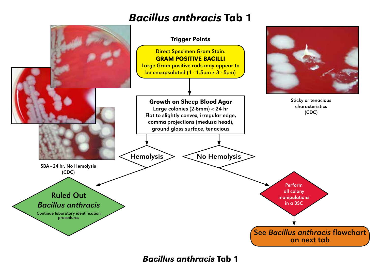### *Bacillus anthracis* Tab 1



*Bacillus anthracis* Tab 1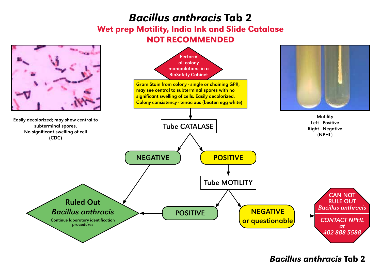### *Bacillus anthracis* Tab 2

#### Wet prep Motility, India Ink and Slide Catalase NOT RECOMMENDED

![](_page_9_Figure_2.jpeg)

#### *Bacillus anthracis* Tab 2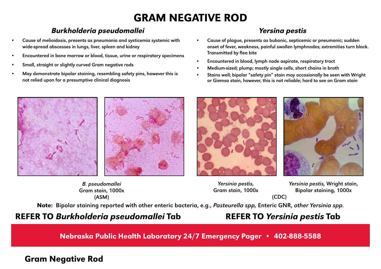## GRAM NEGATIVE ROD

#### Burkholderia pseudomallei Yersina pestis

- Cause of melioidosis, presents as pneumonia and systicemia systemic with wide-spread abscesses in lungs, liver, spleen and kidney
- Encountered in bone marrow or blood, tissue, urine or respiratory specimens
- Small, straight or slightly curved Gram negative rods
- May demonstrate bipolar staining, resembling safety pins, however this is not relied upon for a presumptive clinical diagnosis

- Cause of plague, presents as bubonic, septicemic or pneumonic; sudden onset of fever, weakness, painful swollen lymphnodes; extremities turn black. Transmitted by flea bite
- Encountered in blood, lymph node aspirate, respiratory tract
- Medium-sized; plump; mostly single cells, short chains in broth
- Stains well; bipolar "safety pin" stain may occasionally be seen with Wright or Giemsa stain, however, this is not reliable; hard to see on Gram stain

![](_page_10_Picture_11.jpeg)

![](_page_10_Picture_12.jpeg)

*B. pseudomallei* Gram stain, 1000x (ASM)

![](_page_10_Picture_14.jpeg)

*Yersinia pestis,*  Gram stain, 1000x *Yersinia pestis,* Wright stain, Bipolar staining, 1000x

Note: Bipolar staining reported with other enteric bacteria, e.g., *Pasteurella spp,* Enteric GNR, *other Yersinia spp.*

#### REFER TO *Burkholderia pseudomallei* Tab

### REFER TO *Yersinia pestis* Tab

(CDC)

Nebraska Public Health Laboratory 24/7 Emergency Pager • 402-888-5588

#### Gram Negative Rod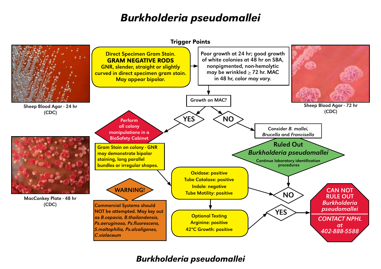### *Burkholderia pseudomallei*

![](_page_11_Figure_1.jpeg)

*Burkholderia pseudomallei*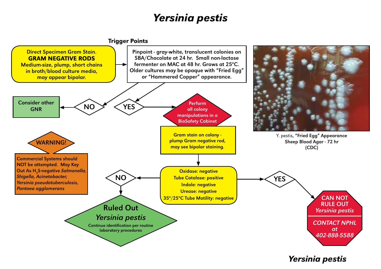### *Yersinia pestis*

![](_page_12_Figure_1.jpeg)

![](_page_12_Figure_2.jpeg)

*Yersinia pestis*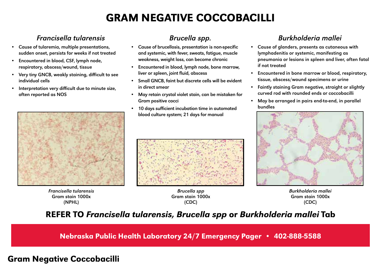### GRAM NEGATIVE COCCOBACILLI

#### Francisella tularensis Brucella spp. Burkholderia mallei

- Cause of tularemia, multiple presentations, sudden onset, persists for weeks if not treated
- Encountered in blood, CSF, lymph node, respiratory, abscess/wound, tissue
- Very tiny GNCB, weakly staining, difficult to see individual cells
- Interpretation very difficult due to minute size, often reported as NOS

![](_page_13_Picture_6.jpeg)

*Francisella tularensis* Gram stain 1000x (NPHL)

- Cause of brucellosis, presentation is non-specific and systemic, with fever, sweats, fatigue, muscle weakness, weight loss, can become chronic
- Encountered in blood, lymph node, bone marrow, liver or spleen, joint fluid, abscess
- Small GNCB, faint but discrete cells will be evident in direct smear
- May retain crystal violet stain, can be mistaken for Gram positive cocci
- 10 days sufficient incubation time in automated blood culture system; 21 days for manual

![](_page_13_Picture_14.jpeg)

*Brucella spp* Gram stain 1000x (CDC)

- Cause of glanders, presents as cutaneous with lymphadenitis or systemic, manifesting as pneumonia or lesions in spleen and liver, often fatal if not treated
- Encountered in bone marrow or blood, respiratory, tissue, abscess/wound specimens or urine
- Faintly staining Gram negative, straight or slightly curved rod with rounded ends or coccobacilli
- May be arranged in pairs end-to-end, in parallel bundles

![](_page_13_Picture_21.jpeg)

*Burkholderia mallei* Gram stain 1000x (CDC)

#### REFER TO *Francisella tularensis, Brucella spp* or *Burkholderia mallei* Tab

Nebraska Public Health Laboratory 24/7 Emergency Pager • 402-888-5588

#### Gram Negative Coccobacilli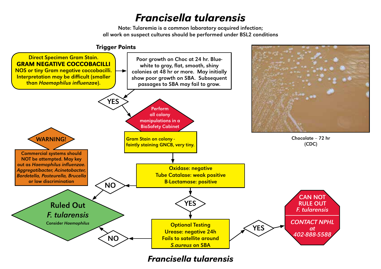### *Francisella tularensis*

Note: Tularemia is a common laboratory acquired infection; all work on suspect cultures should be performed under BSL2 conditions

![](_page_14_Figure_2.jpeg)

*Francisella tularensis*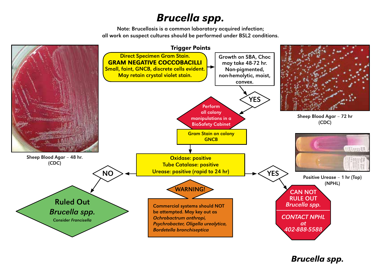## *Brucella spp.*

Note: Brucellosis is a common laboratory acquired infection; all work on suspect cultures should be performed under BSL2 conditions.

![](_page_15_Figure_2.jpeg)

*Brucella spp.*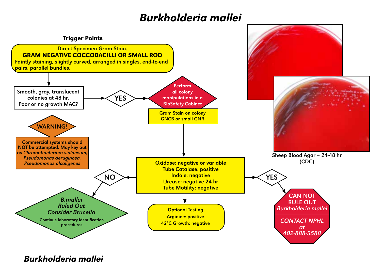### *Burkholderia mallei*

![](_page_16_Figure_1.jpeg)

*Burkholderia mallei*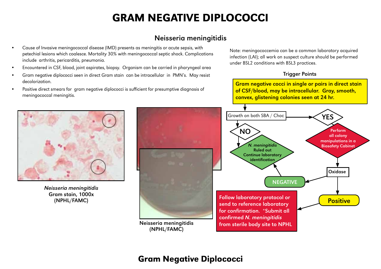### GRAM NEGATIVE DIPLOCOCCI

#### Neisseria meningitidis

- Cause of Invasive meningococcal disease (IMD) presents as meningitis or acute sepsis, with petechial lesions which coalesce. Mortality 30% with meningococcal septic shock. Complications include arthritis, pericarditis, pneumonia.
- Encountered in CSF, blood, joint aspirates, biopsy. Organism can be carried in pharyngeal area
- Gram negative diplococci seen in direct Gram stain can be intracellular in PMN's. May resist decolorization.
- Positive direct smears for gram negative diplococci is sufficient for presumptive diagnosis of meningococcal meningitis.

Note: meningococcemia can be a common laboratory acquired infection (LAI); all work on suspect culture should be performed under BSL2 conditions with BSL3 practices.

#### Trigger Points

![](_page_17_Figure_8.jpeg)

![](_page_17_Picture_9.jpeg)

*Neisseria meningitidis* Gram stain, 1000x (NPHL/FAMC)

#### Gram Negative Diplococci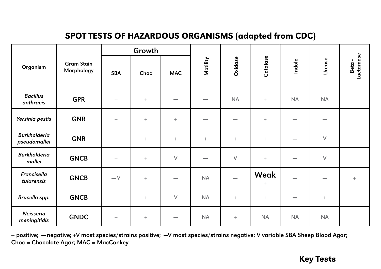### SPOT TESTS OF HAZARDOUS ORGANISMS (adapted from CDC)

|                                     | <b>Gram Stain</b><br>Morphology | Growth          |                 |                          |                          |                          |                         |                          |             |                                     |
|-------------------------------------|---------------------------------|-----------------|-----------------|--------------------------|--------------------------|--------------------------|-------------------------|--------------------------|-------------|-------------------------------------|
| Organism                            |                                 | <b>SBA</b>      | Choc            | <b>MAC</b>               | Motility                 | <b>Oxidase</b>           | Catalase                | Indole                   | Urease      | Lactamase<br>$\blacksquare$<br>Beta |
| <b>Bacillus</b><br>anthracis        | <b>GPR</b>                      | $^{+}$          | $^{+}$          | $\overline{\phantom{a}}$ | $\overline{\phantom{a}}$ | <b>NA</b>                | $^{+}$                  | NA                       | NA          |                                     |
| Yersinia pestis                     | <b>GNR</b>                      | $^{+}$          | $^{+}$          | $\! + \!\!\!\!$          | $\sim$                   | $\overline{\phantom{a}}$ | $^{+}$                  | $\overline{\phantom{a}}$ | $\sim$      |                                     |
| <b>Burkholderia</b><br>pseudomallei | <b>GNR</b>                      | $^{+}$          | $^{+}$          | $\! + \!\!\!\!$          | $\! +$                   | $^{+}$                   | $^{+}$                  | $\overline{\phantom{a}}$ | $\mathsf V$ |                                     |
| <b>Burkholderia</b><br>mallei       | <b>GNCB</b>                     | $+$             | $\! + \!\!\!\!$ | $\vee$                   | $\overline{\phantom{a}}$ | $\vee$                   | $^{+}$                  |                          | $\mathsf V$ |                                     |
| Francisella<br>tularensis           | <b>GNCB</b>                     | $-\vee$         | $\! + \!\!\!\!$ | $\overline{\phantom{a}}$ | <b>NA</b>                |                          | Weak<br>$\! + \!\!\!\!$ | -                        | $\sim$      | $^{+}$                              |
| Brucella spp.                       | <b>GNCB</b>                     | $\! + \!\!\!\!$ | $^{+}$          | $\vee$                   | <b>NA</b>                | $\boldsymbol{+}$         | $\! + \!\!\!\!$         | $\overline{\phantom{a}}$ | $^+$        |                                     |
| Neisseria<br>meningitidis           | <b>GNDC</b>                     | $\! + \!\!\!\!$ | $^{+}$          | $\overline{\phantom{a}}$ | <b>NA</b>                | $\boldsymbol{+}$         | <b>NA</b>               | NA                       | NA          |                                     |

+ positive; — negative; +V most species/strains positive; —V most species/strains negative; V variable SBA Sheep Blood Agar; Choc = Chocolate Agar; MAC = MacConkey

#### Key Tests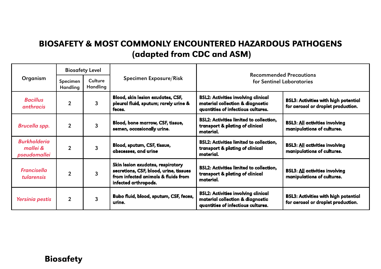### BIOSAFETY & MOST COMMONLY ENCOUNTERED HAZARDOUS PATHOGENS (adapted from CDC and ASM)

|                                                 | <b>Biosafety Level</b> |                     |                                                                                                                                            | <b>Recommended Precautions</b><br>for Sentinel Laboratories                                                          |                                                                                   |  |
|-------------------------------------------------|------------------------|---------------------|--------------------------------------------------------------------------------------------------------------------------------------------|----------------------------------------------------------------------------------------------------------------------|-----------------------------------------------------------------------------------|--|
| Organism<br>Specimen<br>Handling                |                        | Culture<br>Handling | Specimen Exposure/Risk                                                                                                                     |                                                                                                                      |                                                                                   |  |
| <b>Bacillus</b><br>anthracis                    | $\overline{2}$         | 3                   | Blood, skin lesion exudates, CSF,<br>pleural fluid, sputum; rarely urine &<br>feces.                                                       | <b>BSL2: Activities involving clinical</b><br>material collection & diagnostic<br>quantities of infectious cultures. | <b>BSL3: Activities with high potential</b><br>for aerosol or droplet production. |  |
| Brucella spp.                                   | $\overline{2}$         | 3                   | Blood, bone marrow, CSF, tissue,<br>semen, occasionally urine.                                                                             | <b>BSL2: Activities limited to collection.</b><br>transport & plating of clinical<br>material.                       | <b>BSL3: All activities involving</b><br>manipulations of cultures.               |  |
| <b>Burkholderia</b><br>mallei &<br>pseudomallei | $\overline{2}$         | 3                   | Blood, sputum, CSF, tissue,<br>abscesses, and urine                                                                                        | <b>BSL2: Activities limited to collection,</b><br>transport & plating of clinical<br>material.                       | <b>BSL3: All activities involving</b><br>manipulations of cultures.               |  |
| <b>Francisella</b><br><i>tularensis</i>         | $\overline{2}$         | 3                   | Skin lesion exudates, respiratory<br>secretions, CSF, blood, urine, tissues<br>from infected animals & fluids from<br>infected arthropods. | <b>BSL2: Activities limited to collection.</b><br>transport & plating of clinical<br>material.                       | <b>BSL3: All activities involving</b><br>manipulations of cultures.               |  |
| Yersinia pestis                                 | $\overline{2}$         | 3                   | Bubo fluid, blood, sputum, CSF, feces,<br>urine.                                                                                           | <b>BSL2: Activities involving clinical</b><br>material collection & diagnostic<br>quantities of infectious cultures. | <b>BSL3: Activities with high potential</b><br>for aerosol or droplet production. |  |

#### Biosafety